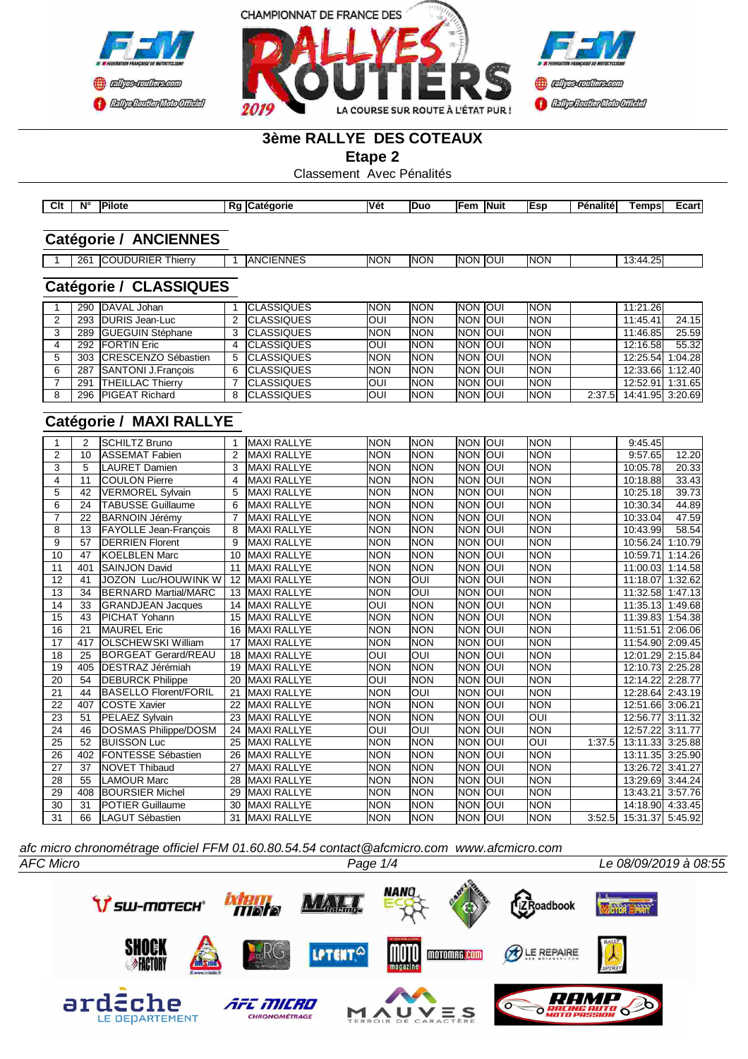



#### **3ème RALLYE DES COTEAUX**

**Etape 2**

Classement Avec Pénalités

| Clt | Ν° | <b>Pilote</b> | в.<br>ra G | <b>ICatégorie</b> | <b>Véi</b> | Duc | <b>IFem</b><br>__ | <b>Nuit</b> | lEen<br>- 11 | .<br>DAn<br>enalite' | <b>Temps</b> | ∠cart |
|-----|----|---------------|------------|-------------------|------------|-----|-------------------|-------------|--------------|----------------------|--------------|-------|

### **Catégorie / ANCIENNES**

|  | 26' | JRIE'<br>וחו ור<br>$\sim$ 1000<br>hierry |  | :NNE'<br>1015<br>IAN(<br>U | <b>NON</b> | <b>NON</b> | <b>INON</b> | IOUI | <b>INON</b> |  | $\sim$ $-$<br>25<br>. 44<br>ັ |  |
|--|-----|------------------------------------------|--|----------------------------|------------|------------|-------------|------|-------------|--|-------------------------------|--|
|--|-----|------------------------------------------|--|----------------------------|------------|------------|-------------|------|-------------|--|-------------------------------|--|

#### **Catégorie / CLASSIQUES**

|     | 290 IDAVAL Johan           | <b>ICLASSIQUES</b> | <b>NON</b> | <b>NON</b> | <b>INON JOUI</b> | <b>INON</b> |        | 11:21.26         |       |
|-----|----------------------------|--------------------|------------|------------|------------------|-------------|--------|------------------|-------|
|     | 293 <b>IDURIS</b> Jean-Luc | <b>ICLASSIQUES</b> | <b>OUI</b> | <b>NON</b> | <b>INON JOUI</b> | <b>INON</b> |        | 11:45.41         | 24.15 |
| 289 | <b>IGUEGUIN Stéphane</b>   | <b>ICLASSIQUES</b> | <b>NON</b> | <b>NON</b> | <b>INON JOUI</b> | <b>INON</b> |        | 11:46.85         | 25.59 |
| 292 | <b>FORTIN Eric</b>         | <b>ICLASSIQUES</b> | <b>OUI</b> | <b>NON</b> | <b>INON JOUI</b> | <b>INON</b> |        | 12:16.58         | 55.32 |
| 303 | ICRESCENZO Sébastien       | <b>ICLASSIQUES</b> | <b>NON</b> | <b>NON</b> | <b>INON JOUI</b> | <b>INON</b> |        | 12:25.54 1:04.28 |       |
| 287 | SANTONI J.Francois         | <b>ICLASSIQUES</b> | <b>NON</b> | <b>NON</b> | <b>INON JOUI</b> | <b>INON</b> |        | 12:33.66 1:12.40 |       |
| 291 | <b>ITHEILLAC Thierry</b>   | <b>ICLASSIQUES</b> | <b>OUI</b> | <b>NON</b> | <b>INON JOUI</b> | <b>INON</b> |        | 12:52.91 1:31.65 |       |
| 296 | <b>IPIGEAT Richard</b>     | <b>ICLASSIQUES</b> | <b>OUI</b> | <b>NON</b> | <b>INON IOUI</b> | <b>INON</b> | 2:37.5 | 14:41.95 3:20.69 |       |

### **Catégorie / MAXI RALLYE**

|                 | 2   | <b>ISCHILTZ Bruno</b>        |    | <b>MAXI RALLYE</b> | <b>NON</b> | <b>NON</b> | <b>NON</b>      | loui | <b>NON</b>              |        | 9:45.45          |         |
|-----------------|-----|------------------------------|----|--------------------|------------|------------|-----------------|------|-------------------------|--------|------------------|---------|
| 2               | 10  | IASSEMAT Fabien              | 2  | <b>MAXI RALLYE</b> | <b>NON</b> | <b>NON</b> | <b>NON</b>      | loui | <b>NON</b>              |        | 9:57.65          | 12.20   |
| $\overline{3}$  | 5   | <b>I</b> LAURET Damien       | 3  | <b>MAXI RALLYE</b> | <b>NON</b> | <b>NON</b> | <b>NON</b>      | loui | <b>NON</b>              |        | 10:05.78         | 20.33   |
| 4               | 11  | <b>ICOULON Pierre</b>        | 4  | <b>MAXI RALLYE</b> | <b>NON</b> | <b>NON</b> | NON IOUI        |      | <b>NON</b>              |        | 10:18.88         | 33.43   |
| 5               | 42  | VERMOREL Sylvain             | 5  | <b>MAXI RALLYE</b> | <b>NON</b> | <b>NON</b> | NON IOUI        |      | <b>NON</b>              |        | 10:25.18         | 39.73   |
| 6               | 24  | <b>TABUSSE Guillaume</b>     | 6  | <b>MAXI RALLYE</b> | <b>NON</b> | <b>NON</b> | <b>NON</b>      | loui | <b>NON</b>              |        | 10:30.34         | 44.89   |
| 7               | 22  | <b>BARNOIN Jérémy</b>        |    | <b>MAXI RALLYE</b> | <b>NON</b> | <b>NON</b> | <b>NON</b>      | loui | <b>NON</b>              |        | 10:33.04         | 47.59   |
| $\overline{8}$  | 13  | <b>FAYOLLE Jean-François</b> | 8  | <b>MAXI RALLYE</b> | <b>NON</b> | <b>NON</b> | <b>NON OUI</b>  |      | <b>NON</b>              |        | 10:43.99         | 58.54   |
| 9               | 57  | <b>IDERRIEN Florent</b>      | 9  | <b>MAXI RALLYE</b> | <b>NON</b> | <b>NON</b> | Inon Ioui       |      | <b>NON</b>              |        | 10:56.24         | 1:10.79 |
| 10              | 47  | <b>KOELBLEN Marc</b>         | 10 | <b>MAXI RALLYE</b> | <b>NON</b> | <b>NON</b> | <b>NON OUI</b>  |      | <b>NON</b>              |        | 10:59.71         | 1:14.26 |
| $\overline{11}$ | 401 | <b>SAINJON David</b>         | 11 | <b>MAXI RALLYE</b> | <b>NON</b> | <b>NON</b> | <b>NON</b>      | loui | <b>NON</b>              |        | 11:00.03         | 1:14.58 |
| 12              | 41  | <b>JOZON Luc/HOUWINK W</b>   | 12 | <b>MAXI RALLYE</b> | <b>NON</b> | Ī          | NON IOUI        |      | <b>NON</b>              |        | 11:18.07         | 1:32.62 |
| 13              | 34  | <b>IBERNARD Martial/MARC</b> | 13 | <b>MAXI RALLYE</b> | <b>NON</b> | OUI        | <b>NON</b>      | loui | <b>NON</b>              |        | 11:32.58         | 1:47.13 |
| 14              | 33  | <b>IGRANDJEAN Jacques</b>    | 14 | <b>MAXI RALLYE</b> | OUI        | <b>NON</b> | NON IOUI        |      | Inon                    |        | 11:35.13         | 1:49.68 |
| 15              | 43  | <b>PICHAT Yohann</b>         | 15 | <b>MAXI RALLYE</b> | <b>NON</b> | <b>NON</b> | <b>NON</b>      | loui | <b>NON</b>              |        | 11:39.83         | 1:54.38 |
| 16              | 21  | <b>MAUREL</b> Eric           | 16 | <b>MAXI RALLYE</b> | <b>NON</b> | <b>NON</b> | <b>NON</b>      | loui | <b>NON</b>              |        | 11:51.51         | 2:06.06 |
| 17              | 417 | <b>OLSCHEWSKI William</b>    | 17 | <b>MAXI RALLYE</b> | <b>NON</b> | <b>NON</b> | <b>NON JOUI</b> |      | <b>NON</b>              |        | 11:54.90         | 2:09.45 |
| $\overline{18}$ | 25  | <b>BORGEAT Gerard/REAU</b>   | 18 | <b>MAXI RALLYE</b> | <b>OUI</b> | OUI        | <b>NON</b>      | loui | <b>NON</b>              |        | 12:01.29         | 2:15.84 |
| $\overline{19}$ | 405 | <b>IDESTRAZ Jérémiah</b>     | 19 | <b>MAXI RALLYE</b> | <b>NON</b> | <b>NON</b> | <b>NON OUI</b>  |      | <b>NON</b>              |        | 12:10.73         | 2:25.28 |
| 20              | 54  | <b>DEBURCK Philippe</b>      | 20 | <b>MAXI RALLYE</b> | <b>OUI</b> | <b>NON</b> | <b>NON</b>      | loui | <b>NON</b>              |        | 12:14.22         | 2:28.77 |
| $\overline{21}$ | 44  | <b>BASELLO Florent/FORIL</b> | 21 | <b>MAXI RALLYE</b> | <b>NON</b> | Ī          | <b>NON JOUI</b> |      | <b>NON</b>              |        | 12:28.64 2:43.19 |         |
| 22              | 407 | <b>COSTE Xavier</b>          | 22 | <b>MAXI RALLYE</b> | <b>NON</b> | <b>NON</b> | <b>NON OUI</b>  |      | <b>NON</b>              |        | 12:51.66         | 3:06.21 |
| 23              | 51  | <b>PELAEZ</b> Sylvain        | 23 | <b>MAXI RALLYE</b> | <b>NON</b> | <b>NON</b> | NON IOUI        |      | OUI                     |        | 12:56.77         | 3:11.32 |
| 24              | 46  | DOSMAS Philippe/DOSM         | 24 | <b>MAXI RALLYE</b> | <b>OUI</b> | <b>OUI</b> | <b>NON</b>      | loui | <b>NON</b>              |        | 12:57.22         | 3:11.77 |
| 25              | 52  | <b>BUISSON Luc</b>           | 25 | <b>MAXI RALLYE</b> | <b>NON</b> | <b>NON</b> | <b>NON</b>      | loui | $\overline{\text{OUI}}$ | 1:37.5 | 13:11.33         | 3:25.88 |
| 26              | 402 | <b>FONTESSE Sébastien</b>    | 26 | <b>MAXI RALLYE</b> | <b>NON</b> | <b>NON</b> | <b>NON</b>      | loui | <b>NON</b>              |        | 13:11.35 3:25.90 |         |
| 27              | 37  | <b>INOVET Thibaud</b>        | 27 | <b>MAXI RALLYE</b> | <b>NON</b> | <b>NON</b> | NON JOUI        |      | <b>NON</b>              |        | 13:26.72         | 3:41.27 |
| 28              | 55  | <b>LAMOUR Marc</b>           | 28 | <b>MAXI RALLYE</b> | <b>NON</b> | <b>NON</b> | NON IOUI        |      | <b>NON</b>              |        | 13:29.69 3:44.24 |         |
| $\overline{29}$ | 408 | <b>BOURSIER Michel</b>       | 29 | <b>MAXI RALLYE</b> | <b>NON</b> | <b>NON</b> | <b>NON</b>      | loui | <b>NON</b>              |        | 13:43.21         | 3:57.76 |
| 30              | 31  | <b>IPOTIER Guillaume</b>     | 30 | <b>MAXI RALLYE</b> | <b>NON</b> | <b>NON</b> | NON IOUI        |      | <b>NON</b>              |        | 14:18.90 4:33.45 |         |
| 31              | 66  | <b>ILAGUT Sébastien</b>      | 31 | <b>MAXI RALLYE</b> | <b>NON</b> | <b>NON</b> | Inon Ioui       |      | <b>NON</b>              | 3:52.5 | 15:31.37 5:45.92 |         |

*AFC Micro Page 1/4 Le 08/09/2019 à 08:55 afc micro chronométrage officiel FFM 01.60.80.54.54 contact@afcmicro.com www.afcmicro.com*

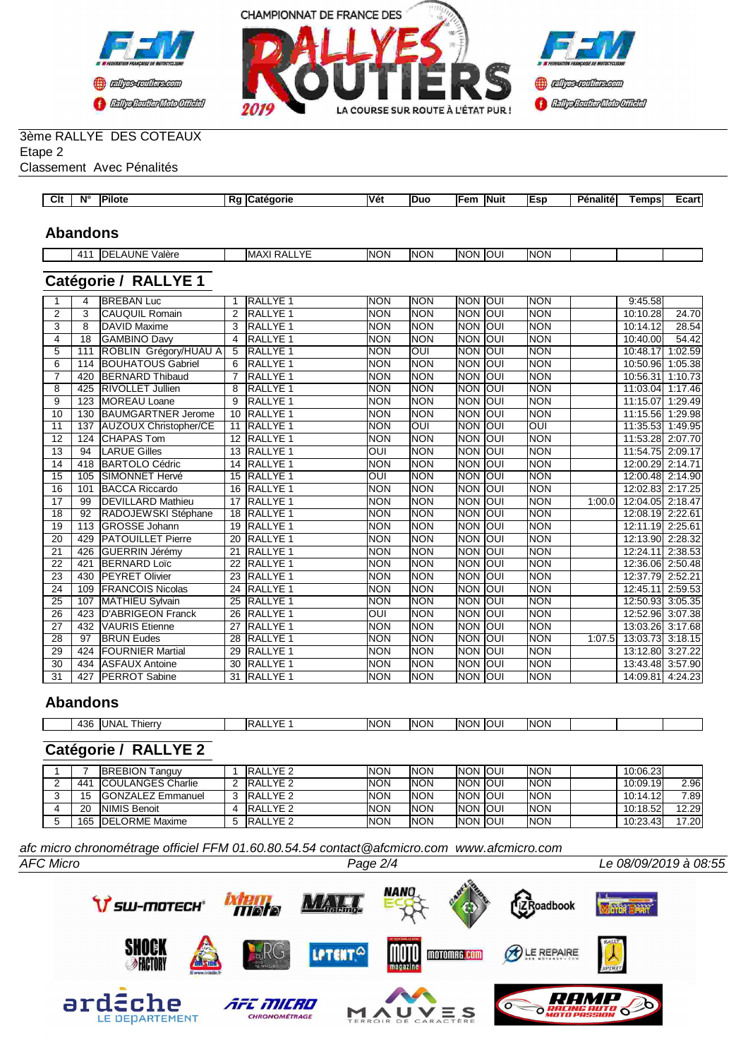



#### 3ème RALLYE DES COTEAUX Etape 2

#### Classement Avec Pénalités

| Clt<br>Vét<br>N°<br><br>مانطا<br><b>IEsp</b><br>Dán<br>lFem<br><b>INuit</b><br>emps<br>Duc<br>'enalite<br>$   -$<br>сагт<br>ποτε<br>orie<br>n. |  |  |  |  |  |  |  |
|------------------------------------------------------------------------------------------------------------------------------------------------|--|--|--|--|--|--|--|
|                                                                                                                                                |  |  |  |  |  |  |  |
|                                                                                                                                                |  |  |  |  |  |  |  |

#### **Abandons**

| <b>VE</b><br>AUNE<br>. IOUI<br><b>INON</b><br><b>NON</b><br><b>NON</b><br>INON<br>$\checkmark$<br>/alère<br>ЛF<br>DA'<br>$\Lambda$ 1<br>IMAXI<br>1171<br>-- 1 - |
|-----------------------------------------------------------------------------------------------------------------------------------------------------------------|
|-----------------------------------------------------------------------------------------------------------------------------------------------------------------|

### **Catégorie / RALLYE 1**

|                 | 4   | <b>BREBAN Luc</b>            |                 | <b>RALLYE 1</b>     | <b>NON</b> | <b>NON</b> | <b>NON</b> | loui | <b>NON</b>  |        | 9:45.58          |         |
|-----------------|-----|------------------------------|-----------------|---------------------|------------|------------|------------|------|-------------|--------|------------------|---------|
| 2               | 3   | <b>CAUQUIL Romain</b>        | 2               | <b>RALLYE 1</b>     | <b>NON</b> | <b>NON</b> | <b>NON</b> | loui | Inon        |        | 10:10.28         | 24.70   |
| 3               | 8   | <b>DAVID Maxime</b>          | 3               | <b>RALLYE 1</b>     | <b>NON</b> | <b>NON</b> | <b>NON</b> | loui | <b>INON</b> |        | 10:14.12         | 28.54   |
| 4               | 18  | <b>GAMBINO Davy</b>          | 4               | <b>RALLYE 1</b>     | <b>NON</b> | <b>NON</b> | <b>NON</b> | loui | Inon        |        | 10:40.00         | 54.42   |
| 5               | 111 | ROBLIN Grégory/HUAU A        | 5               | <b>RALLYE 1</b>     | <b>NON</b> | Ī          | <b>NON</b> | loui | <b>NON</b>  |        | 10:48.17         | 1:02.59 |
| 6               | 114 | <b>BOUHATOUS Gabriel</b>     | 6               | <b>RALLYE1</b>      | <b>NON</b> | <b>NON</b> | <b>NON</b> | loui | <b>NON</b>  |        | 10:50.96         | 1:05.38 |
| 7               | 420 | <b>BERNARD Thibaud</b>       |                 | <b>RALLYE 1</b>     | <b>NON</b> | <b>NON</b> | <b>NON</b> | loui | Inon        |        | 10:56.31         | 1:10.73 |
| $\overline{8}$  | 425 | <b>RIVOLLET Jullien</b>      | 8               | <b>RALLYE 1</b>     | <b>NON</b> | <b>NON</b> | <b>NON</b> | loui | <b>INON</b> |        | 11:03.04         | 1:17.46 |
| 9               | 123 | <b>MOREAU Loane</b>          | 9               | <b>RALLYE 1</b>     | <b>NON</b> | <b>NON</b> | <b>NON</b> | loui | <b>NON</b>  |        | 11:15.07         | 1:29.49 |
| 10              | 130 | <b>BAUMGARTNER Jerome</b>    | 10              | <b>RALLYE 1</b>     | <b>NON</b> | <b>NON</b> | <b>NON</b> | loui | <b>NON</b>  |        | 11:15.56         | 1:29.98 |
| 11              | 137 | <b>AUZOUX Christopher/CE</b> | 11              | <b>RALLYE 1</b>     | <b>NON</b> | loui       | <b>NON</b> | loui | loui        |        | 11:35.53         | 1:49.95 |
| 12              | 124 | <b>CHAPAS Tom</b>            | 12              | <b>RALLYE 1</b>     | <b>NON</b> | <b>NON</b> | <b>NON</b> | loui | Inon        |        | 11:53.28         | 2:07.70 |
| 13              | 94  | <b>LARUE Gilles</b>          | 13              | <b>RALLYE1</b>      | <b>OUI</b> | <b>NON</b> | <b>NON</b> | loui | <b>NON</b>  |        | 11:54.75         | 2:09.17 |
| 14              | 418 | <b>BARTOLO Cédric</b>        | 14              | RALLYE 1            | <b>NON</b> | <b>NON</b> | <b>NON</b> | loui | Inon        |        | 12:00.29         | 2:14.71 |
| 15              | 105 | SIMONNET Hervé               | 15              | <b>RALLYE 1</b>     | OUI        | <b>NON</b> | <b>NON</b> | loui | <b>INON</b> |        | 12:00.48 2:14.90 |         |
| 16              | 101 | <b>BACCA Riccardo</b>        | 16              | <b>RALLYE 1</b>     | <b>NON</b> | <b>NON</b> | <b>NON</b> | loui | <b>NON</b>  |        | 12:02.83 2:17.25 |         |
| 17              | 99  | <b>DEVILLARD Mathieu</b>     | 17              | <b>RALLYE 1</b>     | <b>NON</b> | <b>NON</b> | <b>NON</b> | loui | <b>NON</b>  | 1:00.0 | 12:04.05         | 2:18.47 |
| $\overline{18}$ | 92  | RADOJEWSKI Stéphane          | $\overline{18}$ | <b>RALLYE1</b>      | <b>NON</b> | <b>NON</b> | <b>NON</b> | loui | <b>NON</b>  |        | 12:08.19 2:22.61 |         |
| 19              | 113 | <b>GROSSE Johann</b>         | 19              | <b>RALLYE 1</b>     | <b>NON</b> | <b>NON</b> | <b>NON</b> | loui | <b>NON</b>  |        | 12:11.19 2:25.61 |         |
| 20              | 429 | <b>PATOUILLET Pierre</b>     | 20              | <b>RALLYE 1</b>     | <b>NON</b> | <b>NON</b> | <b>NON</b> | loui | <b>NON</b>  |        | 12:13.90         | 2:28.32 |
| 21              | 426 | <b>GUERRIN Jérémv</b>        | 21              | <b>RALLYE 1</b>     | <b>NON</b> | <b>NON</b> | <b>NON</b> | loui | Inon        |        | 12:24.11         | 2:38.53 |
| 22              | 421 | <b>BERNARD Loïc</b>          | 22              | RALLYE <sub>1</sub> | <b>NON</b> | <b>NON</b> | <b>NON</b> | loui | <b>NON</b>  |        | 12:36.06         | 2:50.48 |
| 23              | 430 | <b>PEYRET Olivier</b>        | 23              | <b>RALLYE 1</b>     | <b>NON</b> | <b>NON</b> | <b>NON</b> | loui | Inon        |        | 12:37.79         | 2:52.21 |
| 24              | 109 | <b>FRANCOIS Nicolas</b>      | 24              | RALLYE <sub>1</sub> | <b>NON</b> | <b>NON</b> | <b>NON</b> | loui | Inon        |        | 12:45.11         | 2:59.53 |
| 25              | 107 | MATHIEU Sylvain              | 25              | <b>RALLYE1</b>      | <b>NON</b> | <b>NON</b> | <b>NON</b> | loui | <b>INON</b> |        | 12:50.93         | 3:05.35 |
| 26              | 423 | <b>D'ABRIGEON Franck</b>     | 26              | <b>RALLYE 1</b>     | OUI        | <b>NON</b> | <b>NON</b> | loui | <b>NON</b>  |        | 12:52.96         | 3:07.38 |
| $\overline{27}$ | 432 | <b>VAURIS Etienne</b>        | 27              | <b>RALLYE 1</b>     | <b>NON</b> | <b>NON</b> | <b>NON</b> | loui | <b>NON</b>  |        | 13:03.26 3:17.68 |         |
| 28              | 97  | <b>BRUN Eudes</b>            | 28              | <b>RALLYE 1</b>     | <b>NON</b> | <b>NON</b> | <b>NON</b> | loui | Inon        | 1:07.5 | 13:03.73         | 3:18.15 |
| 29              | 424 | <b>FOURNIER Martial</b>      | 29              | <b>RALLYE1</b>      | <b>NON</b> | <b>NON</b> | <b>NON</b> | loui | <b>NON</b>  |        | 13:12.80         | 3:27.22 |
| 30              | 434 | <b>IASFAUX Antoine</b>       | 30              | <b>RALLYE 1</b>     | <b>NON</b> | <b>NON</b> | <b>NON</b> | loui | <b>NON</b>  |        | 13:43.48         | 3:57.90 |
| 31              | 427 | <b>PERROT</b> Sabine         | 31              | <b>RALLYE 1</b>     | <b>NON</b> | <b>NON</b> | <b>NON</b> | loui | <b>NON</b>  |        | 14:09.81 4:24.23 |         |

#### **Abandons**

| IN(<br>⊺IOL<br>hierry<br>-<br>᠇◡ |  | 436<br>l INA |  | $\sqrt{ }$ | <b>NON</b> | <b>ON</b> | INK<br>וחר |  | INON |  |  |  |
|----------------------------------|--|--------------|--|------------|------------|-----------|------------|--|------|--|--|--|
|----------------------------------|--|--------------|--|------------|------------|-----------|------------|--|------|--|--|--|

### **Catégorie / RALLYE 2**

|     | <b>BREBION Tanguy</b>     | <b>IRALLYE 2</b> | <b>NON</b> | <b>NON</b> | <b>INON JOUI</b> |        | <b>INON</b> | 10:06.23 |        |
|-----|---------------------------|------------------|------------|------------|------------------|--------|-------------|----------|--------|
| 441 | <b>ICOULANGES Charlie</b> | <b>IRALLYE 2</b> | <b>NON</b> | <b>NON</b> | <b>INON JOUI</b> |        | <b>INON</b> | 10:09.19 | 2.96I  |
| 15  | <b>IGONZALEZ Emmanuel</b> | <b>IRALLYE 2</b> | <b>NON</b> | <b>NON</b> | <b>INON JOUI</b> |        | <b>INON</b> | 10:14.12 | 7.89   |
| 20  | <b>INIMIS Benoit</b>      | <b>IRALLYE 2</b> | <b>NON</b> | <b>NON</b> | <b>INON JOUI</b> |        | <b>INON</b> | 10:18.52 | 12.29l |
|     | 165 IDELORME Maxime       | <b>IRALLYE 2</b> | <b>NON</b> | <b>NON</b> | <b>INON</b>      | i Ioui | <b>INON</b> | 10:23.43 | 17.20l |

*AFC Micro Page 2/4 Le 08/09/2019 à 08:55 afc micro chronométrage officiel FFM 01.60.80.54.54 contact@afcmicro.com www.afcmicro.com*

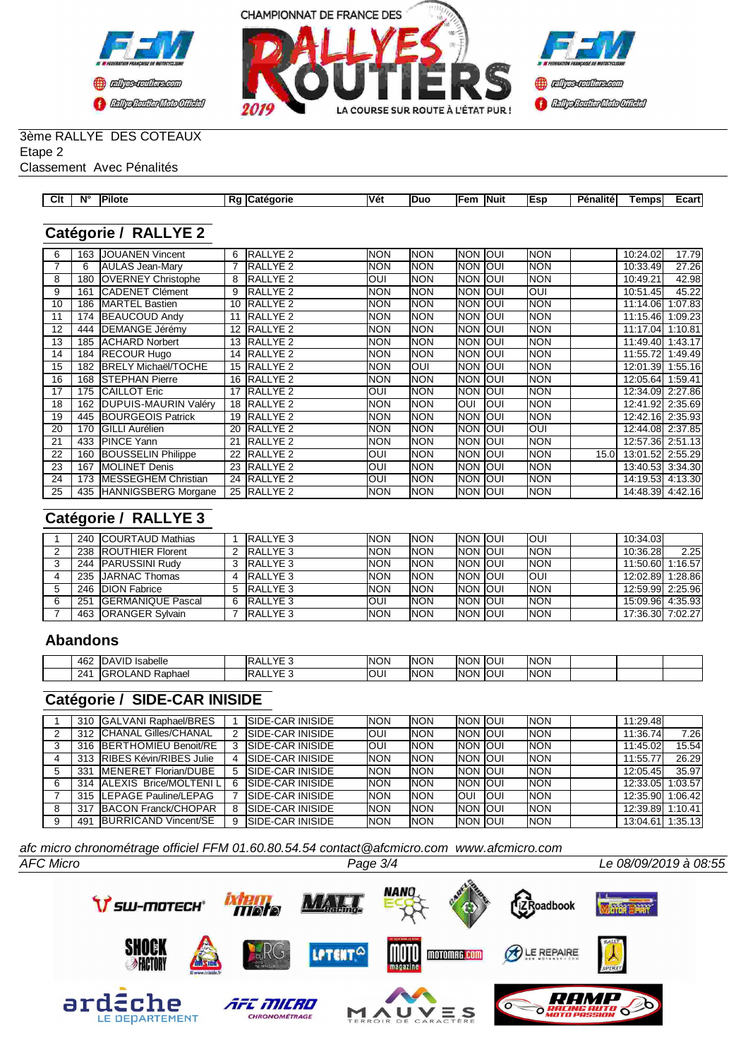



## 3ème RALLYE DES COTEAUX Etape 2

Classement Avec Pénalités

| Clt | N' |  | <b>Vét</b> | -Duc | lFem          | <b>INuit</b> | -- | --<br>alite<br>Dan<br>ени | emps | -             |
|-----|----|--|------------|------|---------------|--------------|----|---------------------------|------|---------------|
| __  |    |  |            |      | $\sim$ $\sim$ |              |    |                           |      | —varu<br>____ |
|     |    |  |            |      |               |              |    |                           |      |               |

# **Catégorie / RALLYE 2**

| 6  | 163 | <b>JOUANEN Vincent</b>      | 6               | RALLYE 2            | <b>NON</b> | <b>NON</b> | Inon Ioui   |      | Inon       |                   | 10:24.02         | 17.79   |
|----|-----|-----------------------------|-----------------|---------------------|------------|------------|-------------|------|------------|-------------------|------------------|---------|
|    | 6   | AULAS Jean-Mary             |                 | RALLYE 2            | <b>NON</b> | <b>NON</b> | Inon.       | loui | Inon       |                   | 10:33.49         | 27.26   |
| 8  | 180 | <b>OVERNEY Christophe</b>   | 8               | <b>IRALLYE 2</b>    | <b>OUI</b> | <b>NON</b> | Inon Ioui   |      | <b>NON</b> |                   | 10:49.21         | 42.98   |
| 9  | 161 | <b>CADENET Clément</b>      | 9               | <b>RALLYE 2</b>     | <b>NON</b> | <b>NON</b> | Inon Ioui   |      | Ioui       |                   | 10:51.45         | 45.22   |
| 10 | 186 | <b>IMARTEL Bastien</b>      | 10 <sup>1</sup> | RALLYE <sub>2</sub> | <b>NON</b> | <b>NON</b> | Inon Ioui   |      | <b>NON</b> |                   | 11:14.06         | 1:07.83 |
| 11 | 174 | <b>BEAUCOUD Andy</b>        | 11              | <b>RALLYE 2</b>     | <b>NON</b> | <b>NON</b> | Inon.       | loui | Inon       |                   | 11:15.46         | 1:09.23 |
| 12 | 444 | <b>DEMANGE Jérémy</b>       | 12              | <b>RALLYE 2</b>     | <b>NON</b> | <b>NON</b> | Inon Ioui   |      | <b>NON</b> |                   | 11:17.04         | 1:10.81 |
| 13 | 185 | <b>ACHARD Norbert</b>       | 13              | <b>RALLYE 2</b>     | <b>NON</b> | <b>NON</b> | Inon Ioui   |      | <b>NON</b> |                   | 11:49.40         | 1:43.17 |
| 14 | 184 | <b>RECOUR Hugo</b>          | 14              | <b>RALLYE 2</b>     | <b>NON</b> | <b>NON</b> | Inon Ioui   |      | NON        |                   | 11:55.72         | 1:49.49 |
| 15 | 182 | <b>BRELY Michaël/TOCHE</b>  |                 | 15 RALLYE 2         | <b>NON</b> | <b>OUI</b> | Inon Ioui   |      | <b>NON</b> |                   | 12:01.39         | 1:55.16 |
| 16 | 168 | <b>ISTEPHAN Pierre</b>      |                 | 16 RALLYE 2         | <b>NON</b> | <b>NON</b> | Inon Ioui   |      | Inon       |                   | 12:05.64         | 1:59.41 |
| 17 | 175 | <b>CAILLOT Eric</b>         |                 | 17 RALLYE 2         | <b>OUI</b> | <b>NON</b> | <b>INON</b> | loui | <b>NON</b> |                   | 12:34.09 2:27.86 |         |
| 18 | 162 | DUPUIS-MAURIN Valéry        |                 | 18 RALLYE 2         | <b>NON</b> | <b>NON</b> | loui        | loui | <b>NON</b> |                   | 12:41.92 2:35.69 |         |
| 19 | 445 | <b>BOURGEOIS Patrick</b>    | 19              | RALLYE <sub>2</sub> | <b>NON</b> | <b>NON</b> | Inon Ioui   |      | <b>NON</b> |                   | 12:42.16 2:35.93 |         |
| 20 | 170 | <b>I</b> GILLI Aurélien     | 20              | <b>RALLYE 2</b>     | <b>NON</b> | <b>NON</b> | Inon        | loui | Ioui       |                   | 12:44.08 2:37.85 |         |
| 21 | 433 | <b>IPINCE Yann</b>          | 21              | <b>RALLYE 2</b>     | <b>NON</b> | <b>NON</b> | Inon        | loui | <b>NON</b> |                   | 12:57.36 2:51.13 |         |
| 22 | 160 | <b>BOUSSELIN Philippe</b>   | 22              | <b>RALLYE 2</b>     | <b>OUI</b> | <b>NON</b> | Inon.       | loui | <b>NON</b> | 15.0 <sub>l</sub> | 13:01.52 2:55.29 |         |
| 23 | 167 | <b>IMOLINET Denis</b>       | 23              | <b>IRALLYE 2</b>    | <b>OUI</b> | <b>NON</b> | Inon Ioui   |      | <b>NON</b> |                   | 13:40.53 3:34.30 |         |
| 24 | 173 | <b>IMESSEGHEM Christian</b> | 24              | <b>RALLYE 2</b>     | <b>OUI</b> | <b>NON</b> | <b>NON</b>  | loui | <b>NON</b> |                   | 14:19.53 4:13.30 |         |
| 25 |     | 435 HANNIGSBERG Morgane     |                 | 25 RALLYE 2         | <b>NON</b> | <b>NON</b> | Inon Ioui   |      | <b>NON</b> |                   | 14:48.39 4:42.16 |         |

# **Catégorie / RALLYE 3**

|     | 240 ICOURTAUD Mathias        |    | <b>RALLYE 3</b> | <b>NON</b> | <b>NON</b> | <b>INON JOUL</b> | IOUI        | 10:34.03         |         |
|-----|------------------------------|----|-----------------|------------|------------|------------------|-------------|------------------|---------|
|     | 238 <b>IROUTHIER Florent</b> |    | RALLYE 3        | <b>NON</b> | <b>NON</b> | <b>INON JOUL</b> | <b>INON</b> | 10:36.28         | 2.25    |
| 244 | <b>IPARUSSINI Rudy</b>       |    | RALLYE 3        | <b>NON</b> | <b>NON</b> | <b>INON JOUL</b> | <b>INON</b> | 11:50.60         | 1:16.57 |
|     | 235 <b>JJARNAC Thomas</b>    |    | RALLYE 3        | <b>NON</b> | <b>NON</b> | <b>INON JOUL</b> | IOUI        | 12:02.89 1:28.86 |         |
|     | 246 <b>IDION</b> Fabrice     |    | RALLYE 3        | <b>NON</b> | <b>NON</b> | <b>INON JOUL</b> | <b>INON</b> | 12:59.99 2:25.96 |         |
| 251 | <b>IGERMANIQUE Pascal</b>    | -6 | <b>RALLYE 3</b> | <b>OUI</b> | <b>NON</b> | <b>INON JOUL</b> | <b>INON</b> | 15:09.96 4:35.93 |         |
|     | 463 <b>IORANGER Sylvain</b>  |    | <b>RALLYE 3</b> | <b>NON</b> | <b>NON</b> | <b>INON IOUI</b> | <b>INON</b> | 17:36.30 7:02.27 |         |

#### **Abandons**

| 462 | <b>IDAVID</b><br><sup>1</sup> Isabelle | $\sqrt{2}$<br>IR.<br>--<br>. . | <b>NON</b> | <b>NON</b> | <b>INON JOUL</b> | <b>INON</b> |  |  |
|-----|----------------------------------------|--------------------------------|------------|------------|------------------|-------------|--|--|
| 241 | . IGRO'<br>_AND<br>Raphael<br>ىت       | $\sqrt{2}$<br>IR.<br>. .<br>-- | <b>OU!</b> | <b>NON</b> | <b>INON IOUI</b> | <b>INON</b> |  |  |

### **Catégorie / SIDE-CAR INISIDE**

|   |     | 310 IGALVANI Raphael/BRES    |   | <b>ISIDE-CAR INISIDE</b> | <b>NON</b> | <b>NON</b> | <b>INON JOUL</b> |             | <b>INON</b> | 11:29.48         |         |
|---|-----|------------------------------|---|--------------------------|------------|------------|------------------|-------------|-------------|------------------|---------|
| ົ |     | 312 CHANAL Gilles/CHANAL     | 2 | <b>ISIDE-CAR INISIDE</b> | <b>OUI</b> | <b>NON</b> | <b>INON JOUL</b> |             | <b>INON</b> | 11:36.74         | 7.26I   |
| 3 |     | 316 BERTHOMIEU Benoit/RE     |   | <b>ISIDE-CAR INISIDE</b> | <b>OUI</b> | <b>NON</b> | <b>INON JOUI</b> |             | <b>INON</b> | 11:45.02         | 15.54   |
|   |     | 313 RIBES Kévin/RIBES Julie  |   | <b>ISIDE-CAR INISIDE</b> | <b>NON</b> | <b>NON</b> | <b>INON JOUI</b> |             | <b>INON</b> | 11:55.77         | 26.29   |
| 5 | 331 | <b>IMENERET Florian/DUBE</b> | 5 | <b>ISIDE-CAR INISIDE</b> | <b>NON</b> | <b>NON</b> | <b>INON JOUI</b> |             | <b>INON</b> | 12:05.45         | 35.97   |
| 6 |     | 314 ALEXIS Brice/MOLTENIL    | 6 | <b>ISIDE-CAR INISIDE</b> | <b>NON</b> | <b>NON</b> | <b>INON JOUL</b> |             | <b>INON</b> | 12:33.05         | 1:03.57 |
|   |     | 315 ILEPAGE Pauline/LEPAG    |   | <b>ISIDE-CAR INISIDE</b> | <b>NON</b> | <b>NON</b> | IOUI             | <b>IOUI</b> | <b>INON</b> | 12:35.90 1:06.42 |         |
| 8 | 317 | BACON Franck/CHOPAR          | 8 | <b>SIDE-CAR INISIDE</b>  | <b>NON</b> | <b>NON</b> | <b>INON JOUI</b> |             | <b>INON</b> | 12:39.89         | 1:10.41 |
| 9 | 491 | BURRICAND Vincent/SE         | 9 | <b>ISIDE-CAR INISIDE</b> | <b>NON</b> | <b>NON</b> | <b>INON JOUI</b> |             | <b>INON</b> | 13:04.61         | 1:35.13 |

*afc micro chronométrage officiel FFM 01.60.80.54.54 contact@afcmicro.com www.afcmicro.com*

*AFC Micro Page 3/4 Le 08/09/2019 à 08:55*